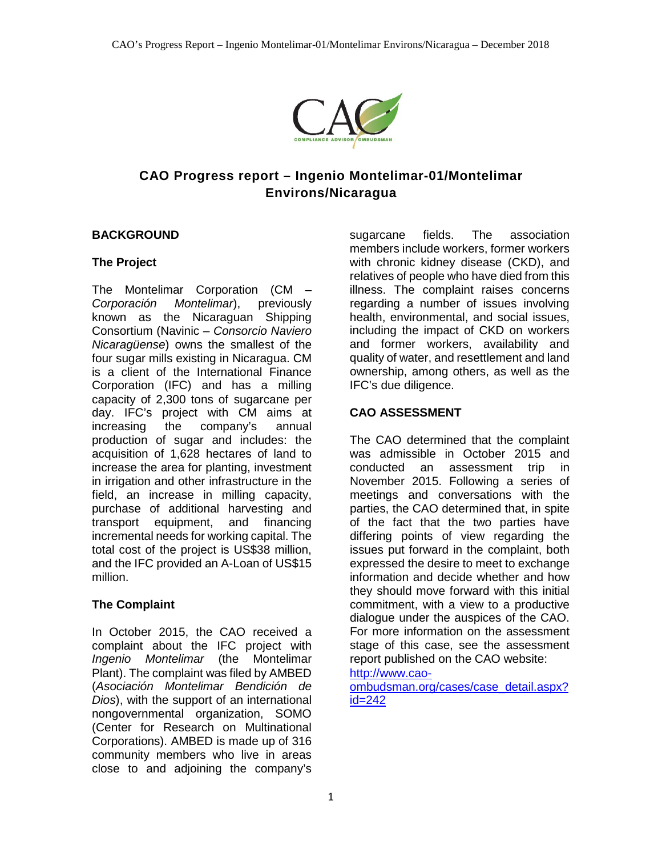

# **CAO Progress report – Ingenio Montelimar-01/Montelimar Environs/Nicaragua**

### **BACKGROUND**

### **The Project**

The Montelimar Corporation (CM –<br>Corporación Montelimar), previously *Corporación Montelimar*), known as the Nicaraguan Shipping Consortium (Navinic – *Consorcio Naviero Nicaragüense*) owns the smallest of the four sugar mills existing in Nicaragua. CM is a client of the International Finance Corporation (IFC) and has a milling capacity of 2,300 tons of sugarcane per day. IFC's project with CM aims at increasing the company's annual production of sugar and includes: the acquisition of 1,628 hectares of land to increase the area for planting, investment in irrigation and other infrastructure in the field, an increase in milling capacity, purchase of additional harvesting and transport equipment, and financing incremental needs for working capital. The total cost of the project is US\$38 million, and the IFC provided an A-Loan of US\$15 million.

### **The Complaint**

In October 2015, the CAO received a complaint about the IFC project with *Ingenio Montelimar* (the Montelimar Plant). The complaint was filed by AMBED (*Asociación Montelimar Bendición de Dios*), with the support of an international nongovernmental organization, SOMO (Center for Research on Multinational Corporations). AMBED is made up of 316 community members who live in areas close to and adjoining the company's

sugarcane fields. The association members include workers, former workers with chronic kidney disease (CKD), and relatives of people who have died from this illness. The complaint raises concerns regarding a number of issues involving health, environmental, and social issues, including the impact of CKD on workers and former workers, availability and quality of water, and resettlement and land ownership, among others, as well as the IFC's due diligence.

### **CAO ASSESSMENT**

The CAO determined that the complaint was admissible in October 2015 and conducted an assessment trip in November 2015. Following a series of meetings and conversations with the parties, the CAO determined that, in spite of the fact that the two parties have differing points of view regarding the issues put forward in the complaint, both expressed the desire to meet to exchange information and decide whether and how they should move forward with this initial commitment, with a view to a productive dialogue under the auspices of the CAO. For more information on the assessment stage of this case, see the assessment report published on the CAO website:

## [http://www.cao-](http://www.cao-ombudsman.org/cases/case_detail.aspx?id=242)

[ombudsman.org/cases/case\\_detail.aspx?](http://www.cao-ombudsman.org/cases/case_detail.aspx?id=242) [id=242](http://www.cao-ombudsman.org/cases/case_detail.aspx?id=242)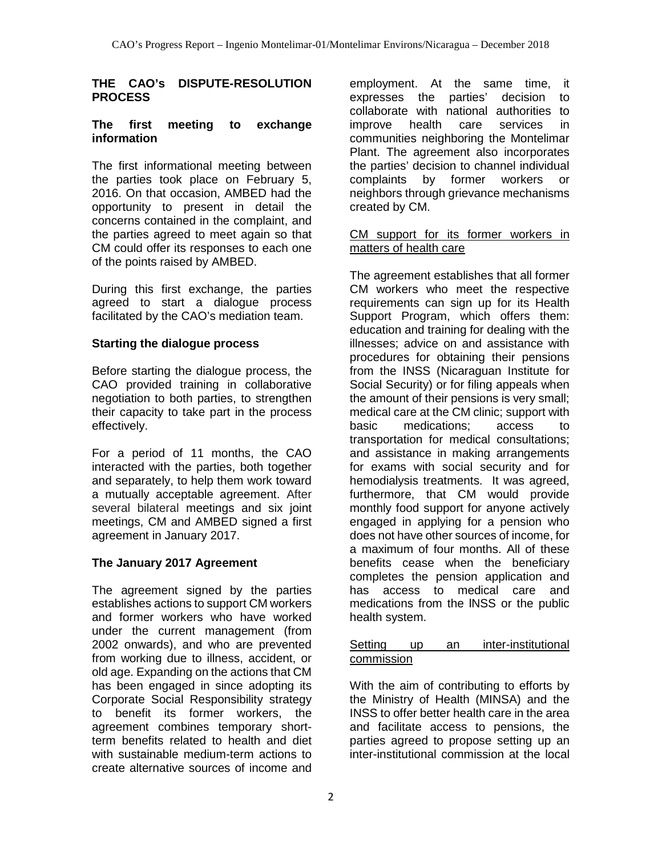#### **THE CAO's DISPUTE-RESOLUTION PROCESS**

### **The first meeting to exchange information**

The first informational meeting between the parties took place on February 5, 2016. On that occasion, AMBED had the opportunity to present in detail the concerns contained in the complaint, and the parties agreed to meet again so that CM could offer its responses to each one of the points raised by AMBED.

During this first exchange, the parties agreed to start a dialogue process facilitated by the CAO's mediation team.

### **Starting the dialogue process**

Before starting the dialogue process, the CAO provided training in collaborative negotiation to both parties, to strengthen their capacity to take part in the process effectively.

For a period of 11 months, the CAO interacted with the parties, both together and separately, to help them work toward a mutually acceptable agreement. After several bilateral meetings and six joint meetings, CM and AMBED signed a first agreement in January 2017.

## **The January 2017 Agreement**

The agreement signed by the parties establishes actions to support CM workers and former workers who have worked under the current management (from 2002 onwards), and who are prevented from working due to illness, accident, or old age. Expanding on the actions that CM has been engaged in since adopting its Corporate Social Responsibility strategy to benefit its former workers, the agreement combines temporary shortterm benefits related to health and diet with sustainable medium-term actions to create alternative sources of income and

employment. At the same time, it expresses the parties' decision to collaborate with national authorities to<br>improve health care services in improve health care services in communities neighboring the Montelimar Plant. The agreement also incorporates the parties' decision to channel individual complaints by former workers or neighbors through grievance mechanisms created by CM.

### CM support for its former workers in matters of health care

The agreement establishes that all former CM workers who meet the respective requirements can sign up for its Health Support Program, which offers them: education and training for dealing with the illnesses; advice on and assistance with procedures for obtaining their pensions from the INSS (Nicaraguan Institute for Social Security) or for filing appeals when the amount of their pensions is very small; medical care at the CM clinic; support with basic medications; access to transportation for medical consultations; and assistance in making arrangements for exams with social security and for hemodialysis treatments. It was agreed, furthermore, that CM would provide monthly food support for anyone actively engaged in applying for a pension who does not have other sources of income, for a maximum of four months. All of these benefits cease when the beneficiary completes the pension application and has access to medical care and medications from the lNSS or the public health system.

### Setting up an inter-institutional commission

With the aim of contributing to efforts by the Ministry of Health (MINSA) and the INSS to offer better health care in the area and facilitate access to pensions, the parties agreed to propose setting up an inter-institutional commission at the local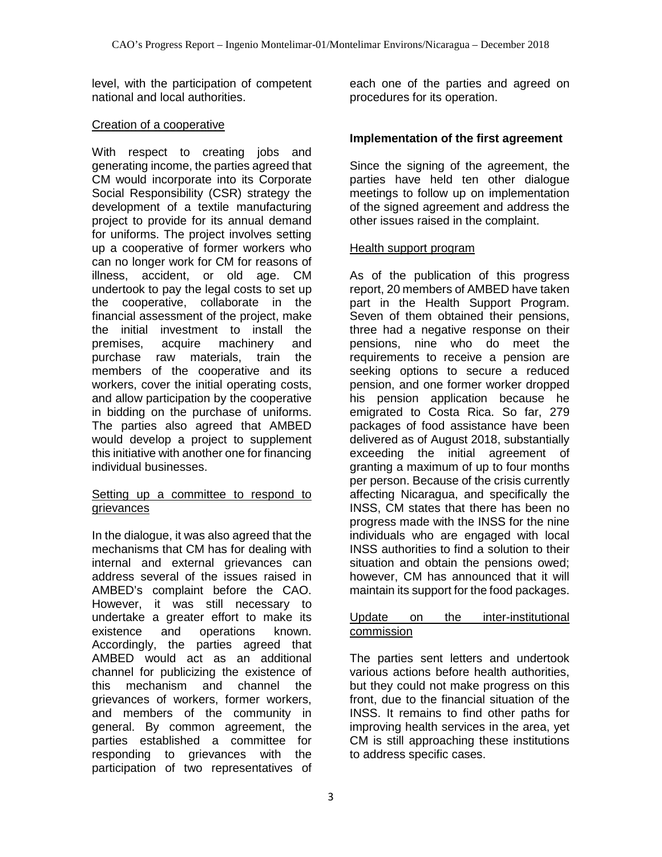level, with the participation of competent national and local authorities.

### Creation of a cooperative

With respect to creating jobs and generating income, the parties agreed that CM would incorporate into its Corporate Social Responsibility (CSR) strategy the development of a textile manufacturing project to provide for its annual demand for uniforms. The project involves setting up a cooperative of former workers who can no longer work for CM for reasons of illness, accident, or old age. CM undertook to pay the legal costs to set up the cooperative, collaborate in the financial assessment of the project, make the initial investment to install the premises, acquire machinery and purchase raw materials, train the members of the cooperative and its workers, cover the initial operating costs, and allow participation by the cooperative in bidding on the purchase of uniforms. The parties also agreed that AMBED would develop a project to supplement this initiative with another one for financing individual businesses.

### Setting up a committee to respond to grievances

In the dialogue, it was also agreed that the mechanisms that CM has for dealing with internal and external grievances can address several of the issues raised in AMBED's complaint before the CAO. However, it was still necessary to undertake a greater effort to make its existence and operations known. Accordingly, the parties agreed that AMBED would act as an additional channel for publicizing the existence of this mechanism and channel the grievances of workers, former workers, and members of the community in general. By common agreement, the parties established a committee for responding to grievances with the participation of two representatives of

each one of the parties and agreed on procedures for its operation.

## **Implementation of the first agreement**

Since the signing of the agreement, the parties have held ten other dialogue meetings to follow up on implementation of the signed agreement and address the other issues raised in the complaint.

### Health support program

As of the publication of this progress report, 20 members of AMBED have taken part in the Health Support Program. Seven of them obtained their pensions, three had a negative response on their pensions, nine who do meet the requirements to receive a pension are seeking options to secure a reduced pension, and one former worker dropped his pension application because he emigrated to Costa Rica. So far, 279 packages of food assistance have been delivered as of August 2018, substantially exceeding the initial agreement of granting a maximum of up to four months per person. Because of the crisis currently affecting Nicaragua, and specifically the INSS, CM states that there has been no progress made with the INSS for the nine individuals who are engaged with local INSS authorities to find a solution to their situation and obtain the pensions owed; however, CM has announced that it will maintain its support for the food packages.

#### Update on the inter-institutional commission

The parties sent letters and undertook various actions before health authorities, but they could not make progress on this front, due to the financial situation of the INSS. It remains to find other paths for improving health services in the area, yet CM is still approaching these institutions to address specific cases.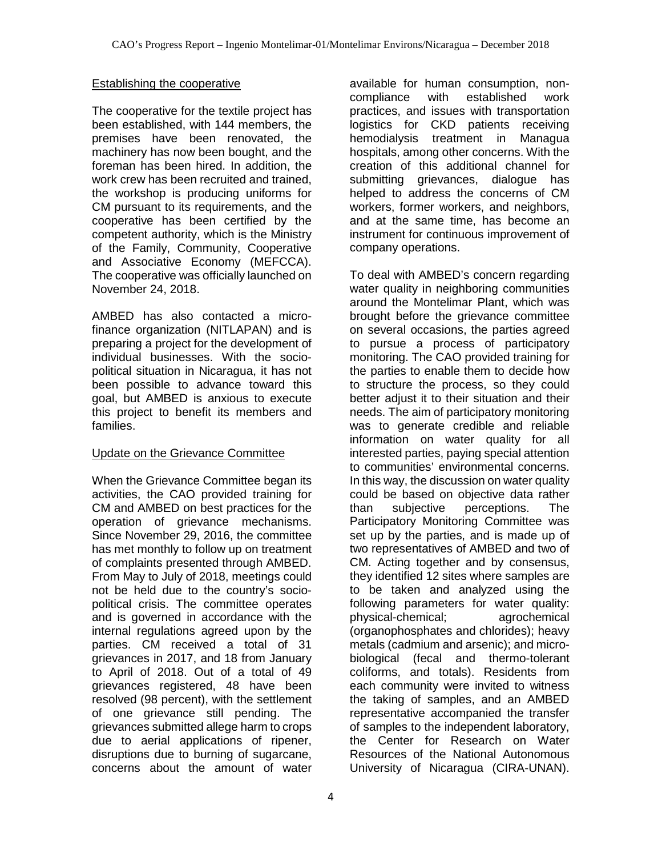### Establishing the cooperative

The cooperative for the textile project has been established, with 144 members, the premises have been renovated, the machinery has now been bought, and the foreman has been hired. In addition, the work crew has been recruited and trained, the workshop is producing uniforms for CM pursuant to its requirements, and the cooperative has been certified by the competent authority, which is the Ministry of the Family, Community, Cooperative and Associative Economy (MEFCCA). The cooperative was officially launched on November 24, 2018.

AMBED has also contacted a microfinance organization (NITLAPAN) and is preparing a project for the development of individual businesses. With the sociopolitical situation in Nicaragua, it has not been possible to advance toward this goal, but AMBED is anxious to execute this project to benefit its members and families.

### Update on the Grievance Committee

When the Grievance Committee began its activities, the CAO provided training for CM and AMBED on best practices for the operation of grievance mechanisms. Since November 29, 2016, the committee has met monthly to follow up on treatment of complaints presented through AMBED. From May to July of 2018, meetings could not be held due to the country's sociopolitical crisis. The committee operates and is governed in accordance with the internal regulations agreed upon by the parties. CM received a total of 31 grievances in 2017, and 18 from January to April of 2018. Out of a total of 49 grievances registered, 48 have been resolved (98 percent), with the settlement of one grievance still pending. The grievances submitted allege harm to crops due to aerial applications of ripener, disruptions due to burning of sugarcane, concerns about the amount of water

available for human consumption, noncompliance with established work practices, and issues with transportation logistics for CKD patients receiving hemodialysis treatment in Managua hospitals, among other concerns. With the creation of this additional channel for submitting grievances, dialogue has helped to address the concerns of CM workers, former workers, and neighbors, and at the same time, has become an instrument for continuous improvement of company operations.

To deal with AMBED's concern regarding water quality in neighboring communities around the Montelimar Plant, which was brought before the grievance committee on several occasions, the parties agreed to pursue a process of participatory monitoring. The CAO provided training for the parties to enable them to decide how to structure the process, so they could better adjust it to their situation and their needs. The aim of participatory monitoring was to generate credible and reliable information on water quality for all interested parties, paying special attention to communities' environmental concerns. In this way, the discussion on water quality could be based on objective data rather than subjective perceptions. The Participatory Monitoring Committee was set up by the parties, and is made up of two representatives of AMBED and two of CM. Acting together and by consensus, they identified 12 sites where samples are to be taken and analyzed using the following parameters for water quality: physical-chemical; agrochemical (organophosphates and chlorides); heavy metals (cadmium and arsenic); and microbiological (fecal and thermo-tolerant coliforms, and totals). Residents from each community were invited to witness the taking of samples, and an AMBED representative accompanied the transfer of samples to the independent laboratory, the Center for Research on Water Resources of the National Autonomous University of Nicaragua (CIRA-UNAN).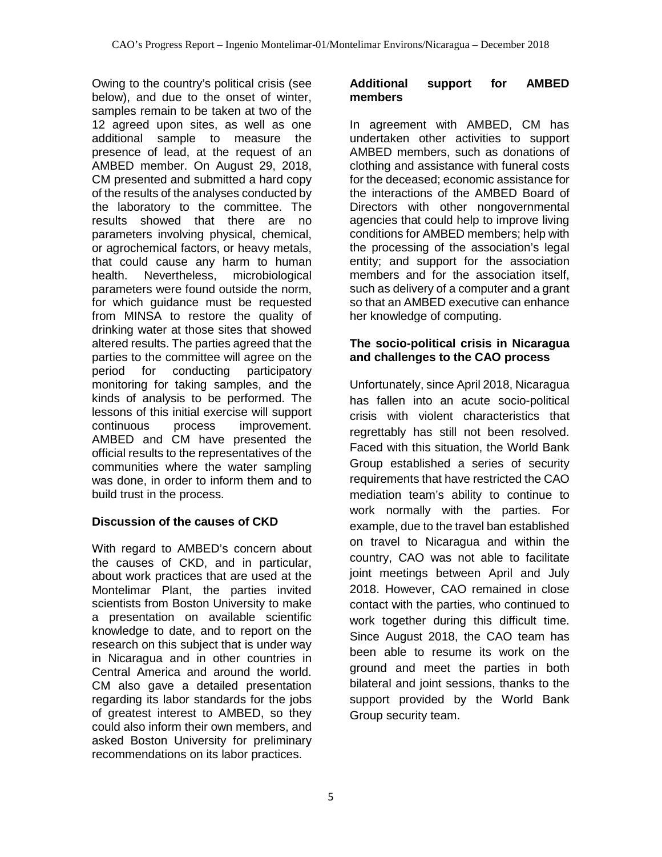Owing to the country's political crisis (see below), and due to the onset of winter, samples remain to be taken at two of the 12 agreed upon sites, as well as one additional sample to measure the presence of lead, at the request of an AMBED member. On August 29, 2018, CM presented and submitted a hard copy of the results of the analyses conducted by the laboratory to the committee. The results showed that there are no parameters involving physical, chemical, or agrochemical factors, or heavy metals, that could cause any harm to human health. Nevertheless, microbiological parameters were found outside the norm, for which guidance must be requested from MINSA to restore the quality of drinking water at those sites that showed altered results. The parties agreed that the parties to the committee will agree on the period for conducting participatory monitoring for taking samples, and the kinds of analysis to be performed. The lessons of this initial exercise will support continuous process improvement. AMBED and CM have presented the official results to the representatives of the communities where the water sampling was done, in order to inform them and to build trust in the process.

## **Discussion of the causes of CKD**

With regard to AMBED's concern about the causes of CKD, and in particular, about work practices that are used at the Montelimar Plant, the parties invited scientists from Boston University to make a presentation on available scientific knowledge to date, and to report on the research on this subject that is under way in Nicaragua and in other countries in Central America and around the world. CM also gave a detailed presentation regarding its labor standards for the jobs of greatest interest to AMBED, so they could also inform their own members, and asked Boston University for preliminary recommendations on its labor practices.

#### **Additional support for AMBED members**

In agreement with AMBED, CM has undertaken other activities to support AMBED members, such as donations of clothing and assistance with funeral costs for the deceased; economic assistance for the interactions of the AMBED Board of Directors with other nongovernmental agencies that could help to improve living conditions for AMBED members; help with the processing of the association's legal entity; and support for the association members and for the association itself, such as delivery of a computer and a grant so that an AMBED executive can enhance her knowledge of computing.

## **The socio-political crisis in Nicaragua and challenges to the CAO process**

Unfortunately, since April 2018, Nicaragua has fallen into an acute socio-political crisis with violent characteristics that regrettably has still not been resolved. Faced with this situation, the World Bank Group established a series of security requirements that have restricted the CAO mediation team's ability to continue to work normally with the parties. For example, due to the travel ban established on travel to Nicaragua and within the country, CAO was not able to facilitate joint meetings between April and July 2018. However, CAO remained in close contact with the parties, who continued to work together during this difficult time. Since August 2018, the CAO team has been able to resume its work on the ground and meet the parties in both bilateral and joint sessions, thanks to the support provided by the World Bank Group security team.